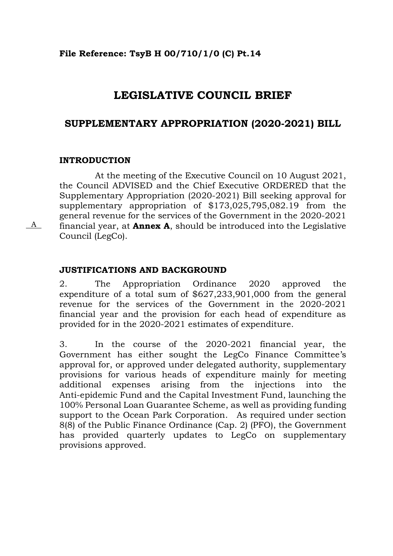#### **File Reference: TsyB H 00/710/1/0 (C) Pt.14**

# **LEGISLATIVE COUNCIL BRIEF**

## **SUPPLEMENTARY APPROPRIATION (2020-2021) BILL**

#### **INTRODUCTION**

A

At the meeting of the Executive Council on 10 August 2021, the Council ADVISED and the Chief Executive ORDERED that the Supplementary Appropriation (2020-2021) Bill seeking approval for supplementary appropriation of \$173,025,795,082.19 from the general revenue for the services of the Government in the 2020-2021 financial year, at **Annex A**, should be introduced into the Legislative Council (LegCo).

#### **JUSTIFICATIONS AND BACKGROUND**

2. The Appropriation Ordinance 2020 approved the expenditure of a total sum of \$627,233,901,000 from the general revenue for the services of the Government in the 2020-2021 financial year and the provision for each head of expenditure as provided for in the 2020-2021 estimates of expenditure.

3. In the course of the 2020-2021 financial year, the Government has either sought the LegCo Finance Committee's approval for, or approved under delegated authority, supplementary provisions for various heads of expenditure mainly for meeting additional expenses arising from the injections into the Anti-epidemic Fund and the Capital Investment Fund, launching the 100% Personal Loan Guarantee Scheme, as well as providing funding support to the Ocean Park Corporation. As required under section 8(8) of the Public Finance Ordinance (Cap. 2) (PFO), the Government has provided quarterly updates to LegCo on supplementary provisions approved.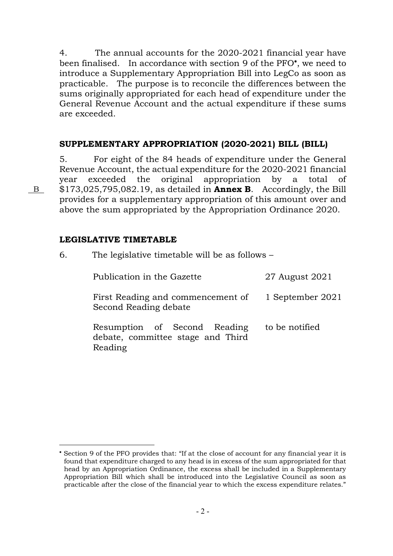4. The annual accounts for the 2020-2021 financial year have been finalised. In accordance with section 9 of the PFO , we need to introduce a Supplementary Appropriation Bill into LegCo as soon as practicable. The purpose is to reconcile the differences between the sums originally appropriated for each head of expenditure under the General Revenue Account and the actual expenditure if these sums are exceeded.

#### **SUPPLEMENTARY APPROPRIATION (2020-2021) BILL (BILL)**

5. For eight of the 84 heads of expenditure under the General Revenue Account, the actual expenditure for the 2020-2021 financial year exceeded the original appropriation by a total of \$173,025,795,082.19, as detailed in **Annex B**. Accordingly, the Bill provides for a supplementary appropriation of this amount over and above the sum appropriated by the Appropriation Ordinance 2020.

#### **LEGISLATIVE TIMETABLE**

| 6. | The legislative timetable will be as follows –                               |                  |  |  |  |
|----|------------------------------------------------------------------------------|------------------|--|--|--|
|    | Publication in the Gazette                                                   | 27 August 2021   |  |  |  |
|    | First Reading and commencement of<br>Second Reading debate                   | 1 September 2021 |  |  |  |
|    | Resumption of Second Reading<br>debate, committee stage and Third<br>Reading | to be notified   |  |  |  |

B

 $\overline{a}$ 

Section 9 of the PFO provides that: "If at the close of account for any financial year it is found that expenditure charged to any head is in excess of the sum appropriated for that head by an Appropriation Ordinance, the excess shall be included in a Supplementary Appropriation Bill which shall be introduced into the Legislative Council as soon as practicable after the close of the financial year to which the excess expenditure relates."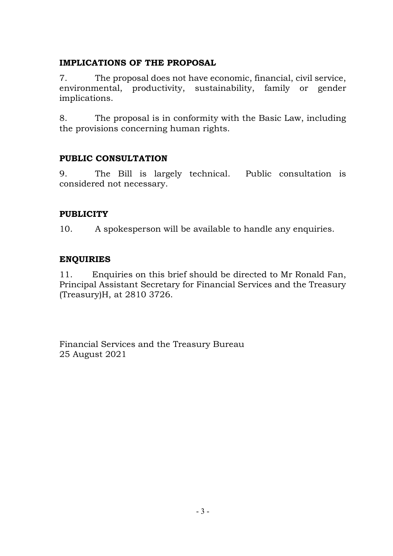## **IMPLICATIONS OF THE PROPOSAL**

7. The proposal does not have economic, financial, civil service, environmental, productivity, sustainability, family or gender implications.

8. The proposal is in conformity with the Basic Law, including the provisions concerning human rights.

## **PUBLIC CONSULTATION**

9. The Bill is largely technical. Public consultation is considered not necessary.

## **PUBLICITY**

10. A spokesperson will be available to handle any enquiries.

## **ENQUIRIES**

11. Enquiries on this brief should be directed to Mr Ronald Fan, Principal Assistant Secretary for Financial Services and the Treasury (Treasury)H, at 2810 3726.

Financial Services and the Treasury Bureau 25 August 2021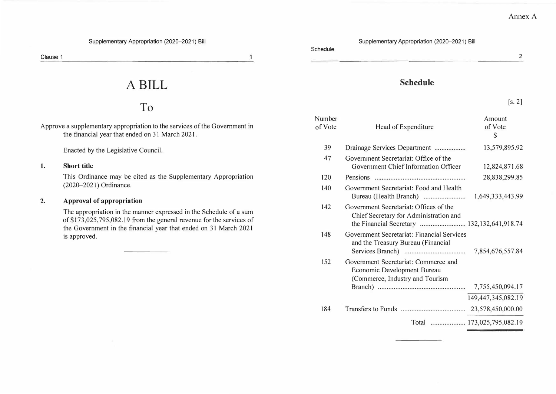#### **Supplementary Appropriation (2020-2021) Bill Supplementary Appropriation (2020-2021) Bill**

**Clause 1** 

 $\overline{1}$ 

# **A BILL**

# **To**

**Approve a supplementary appropriation to the services of the Government in the financial year that ended on 3 I March 2021.** 

**Enacted by the Legislative Council.** 

#### **1. Short title**

**This Ordinance may be cited as the Supplementary Appropriation (2020-2021) Ordinance.** 

#### 2. **Approval of appropriation**

**The appropriation in the manner expressed in the Schedule of a sum**  of \$173,025,795,082.19 from the general revenue for the services of **the Government in the financial year that ended on 31 March 2021 is approved.** 

**Schedule** 

|  | anegule |  |  |
|--|---------|--|--|
|  |         |  |  |
|  |         |  |  |

**2**

**[s. 2]** 

#### **Schedule**

|                   |                                                                                                                                 | 10.41                                       |
|-------------------|---------------------------------------------------------------------------------------------------------------------------------|---------------------------------------------|
| Number<br>of Vote | Head of Expenditure                                                                                                             | Amount<br>of Vote<br>$\mathbf{\mathcal{E}}$ |
| 39                | Drainage Services Department                                                                                                    | 13,579,895.92                               |
| 47                | Government Secretariat: Office of the<br>Government Chief Information Officer                                                   | 12,824,871.68                               |
| 120               |                                                                                                                                 | 28,838,299.85                               |
| 140               | Government Secretariat: Food and Health                                                                                         | 1,649,333,443.99                            |
| 142               | Government Secretariat: Offices of the<br>Chief Secretary for Administration and<br>the Financial Secretary  132,132,641,918.74 |                                             |
| 148               | <b>Government Secretariat: Financial Services</b><br>and the Treasury Bureau (Financial                                         | 7,854,676,557.84                            |
| 152               | Government Secretariat: Commerce and<br>Economic Development Bureau<br>(Commerce, Industry and Tourism                          |                                             |
|                   |                                                                                                                                 | 7,755,450,094.17                            |
|                   |                                                                                                                                 | 149,447,345,082.19                          |
| 184               |                                                                                                                                 |                                             |
|                   |                                                                                                                                 | Total  173,025,795,082.19                   |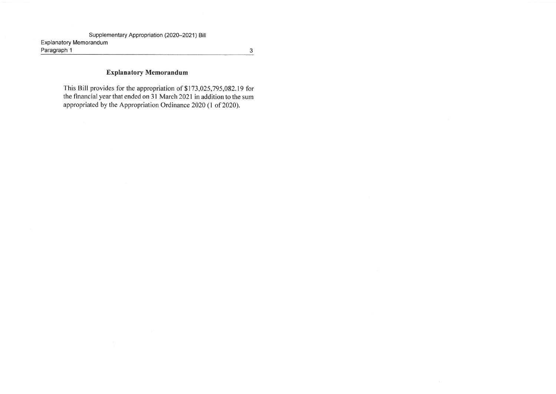Paragraph 1

#### Explanatory Memorandum

This Bill provides for the appropriation of \$173, 025, 795, 082. 19 for the financial year that ended on 31 March 2021 in addition to the sum appropriated by the Appropriation Ordinance 2020 (I of 2020).

 $\mathbf{3}$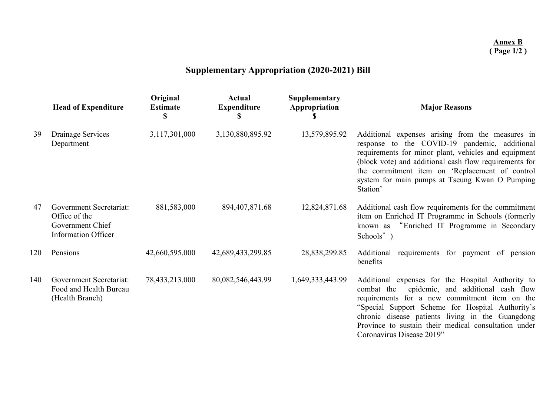# **Supplementary Appropriation (2020-2021) Bill**

|     | <b>Head of Expenditure</b>                                                                 | Original<br><b>Estimate</b> | <b>Actual</b><br><b>Expenditure</b> | Supplementary<br>Appropriation | <b>Major Reasons</b>                                                                                                                                                                                                                                                                                                                                |
|-----|--------------------------------------------------------------------------------------------|-----------------------------|-------------------------------------|--------------------------------|-----------------------------------------------------------------------------------------------------------------------------------------------------------------------------------------------------------------------------------------------------------------------------------------------------------------------------------------------------|
| 39  | Drainage Services<br>Department                                                            | 3,117,301,000               | 3,130,880,895.92                    | 13,579,895.92                  | Additional expenses arising from the measures in<br>response to the COVID-19 pandemic, additional<br>requirements for minor plant, vehicles and equipment<br>(block vote) and additional cash flow requirements for<br>the commitment item on 'Replacement of control<br>system for main pumps at Tseung Kwan O Pumping<br>Station'                 |
| 47  | Government Secretariat:<br>Office of the<br>Government Chief<br><b>Information Officer</b> | 881,583,000                 | 894,407,871.68                      | 12,824,871.68                  | Additional cash flow requirements for the commitment<br>item on Enriched IT Programme in Schools (formerly<br>"Enriched IT Programme in Secondary<br>known as<br>Schools")                                                                                                                                                                          |
| 120 | Pensions                                                                                   | 42,660,595,000              | 42,689,433,299.85                   | 28,838,299.85                  | Additional requirements for payment of pension<br>benefits                                                                                                                                                                                                                                                                                          |
| 140 | Government Secretariat:<br>Food and Health Bureau<br>(Health Branch)                       | 78,433,213,000              | 80,082,546,443.99                   | 1,649,333,443.99               | Additional expenses for the Hospital Authority to<br>epidemic, and additional cash flow<br>combat the<br>requirements for a new commitment item on the<br>"Special Support Scheme for Hospital Authority's<br>chronic disease patients living in the Guangdong<br>Province to sustain their medical consultation under<br>Coronavirus Disease 2019" |